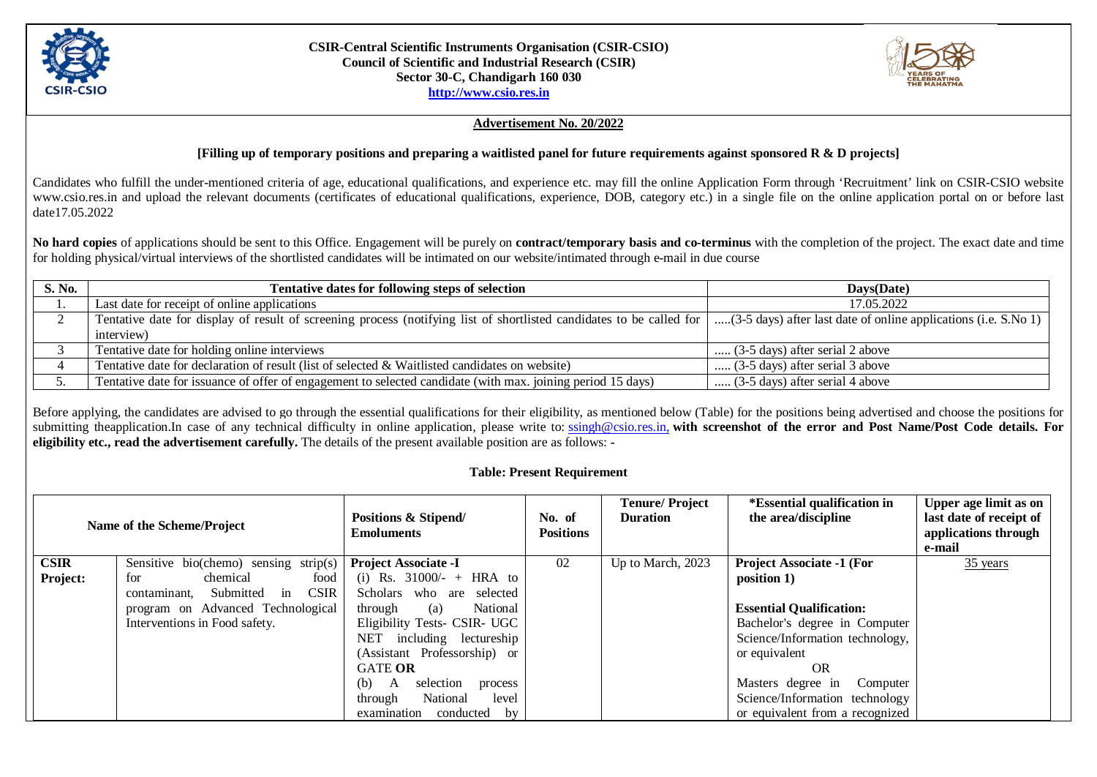

#### **CSIR-Central Scientific Instruments Organisation (CSIR-CSIO) Council of Scientific and Industrial Research (CSIR) Sector 30-C, Chandigarh 160 030 [http://www.csio.res.in](http://www.csio.res.in/)**



### **Advertisement No. 20/2022**

## **[Filling up of temporary positions and preparing a waitlisted panel for future requirements against sponsored R & D projects]**

Candidates who fulfill the under-mentioned criteria of age, educational qualifications, and experience etc. may fill the online Application Form through 'Recruitment' link on CSIR-CSIO website www.csio.res.in and upload the relevant documents (certificates of educational qualifications, experience, DOB, category etc.) in a single file on the online application portal on or before last date17.05.2022

**No hard copies** of applications should be sent to this Office. Engagement will be purely on **contract/temporary basis and co-terminus** with the completion of the project. The exact date and time for holding physical/virtual interviews of the shortlisted candidates will be intimated on our website/intimated through e-mail in due course

| S. No. | Tentative dates for following steps of selection                                                                     | Days(Date)                                                      |
|--------|----------------------------------------------------------------------------------------------------------------------|-----------------------------------------------------------------|
|        | Last date for receipt of online applications                                                                         | 17.05.2022                                                      |
|        | Tentative date for display of result of screening process (notifying list of shortlisted candidates to be called for | (3-5 days) after last date of online applications (i.e. S.No 1) |
|        | interview)                                                                                                           |                                                                 |
|        | Tentative date for holding online interviews                                                                         | $(3-5 \text{ days})$ after serial 2 above                       |
|        | Tentative date for declaration of result (list of selected & Waitlisted candidates on website)                       | $(3-5 \text{ days})$ after serial 3 above                       |
|        | Tentative date for issuance of offer of engagement to selected candidate (with max. joining period 15 days)          | (3-5 days) after serial 4 above                                 |

Before applying, the candidates are advised to go through the essential qualifications for their eligibility, as mentioned below (Table) for the positions being advertised and choose the positions for submitting theapplication.In case of any technical difficulty in online application, please write to: [ssingh@csio.res.in,](mailto:ssingh@csio.res.in) with screenshot of the error and Post Name/Post Code details. For **eligibility etc., read the advertisement carefully.** The details of the present available position are as follows: **-**

## **Table: Present Requirement**

| Name of the Scheme/Project |                                             | Positions & Stipend/<br><b>Emoluments</b> | No. of<br><b>Positions</b> | <b>Tenure/Project</b><br><b>Duration</b> | <i>*Essential qualification in</i><br>the area/discipline | Upper age limit as on<br>last date of receipt of<br>applications through<br>e-mail |
|----------------------------|---------------------------------------------|-------------------------------------------|----------------------------|------------------------------------------|-----------------------------------------------------------|------------------------------------------------------------------------------------|
| <b>CSIR</b>                | Sensitive bio(chemo) sensing strip(s)       | <b>Project Associate -I</b>               | 02                         | Up to March, 2023                        | <b>Project Associate -1 (For</b>                          | $35$ years                                                                         |
| Project:                   | chemical<br>food<br>for                     | (i) Rs. $31000/- + HRA$ to                |                            |                                          | position 1)                                               |                                                                                    |
|                            | <b>CSIR</b><br>Submitted in<br>contaminant, | Scholars who are selected                 |                            |                                          |                                                           |                                                                                    |
|                            | program on Advanced Technological           | National<br>through<br>(a)                |                            |                                          | <b>Essential Qualification:</b>                           |                                                                                    |
|                            | Interventions in Food safety.               | Eligibility Tests- CSIR- UGC              |                            |                                          | Bachelor's degree in Computer                             |                                                                                    |
|                            |                                             | NET<br>including lectureship              |                            |                                          | Science/Information technology,                           |                                                                                    |
|                            |                                             | (Assistant Professorship) or              |                            |                                          | or equivalent                                             |                                                                                    |
|                            |                                             | <b>GATE OR</b>                            |                            |                                          | <b>OR</b>                                                 |                                                                                    |
|                            |                                             | (b)<br>selection<br>process<br>A          |                            |                                          | Masters degree in<br>Computer                             |                                                                                    |
|                            |                                             | National<br>through<br>level              |                            |                                          | Science/Information technology                            |                                                                                    |
|                            |                                             | conducted<br>examination<br>by            |                            |                                          | or equivalent from a recognized                           |                                                                                    |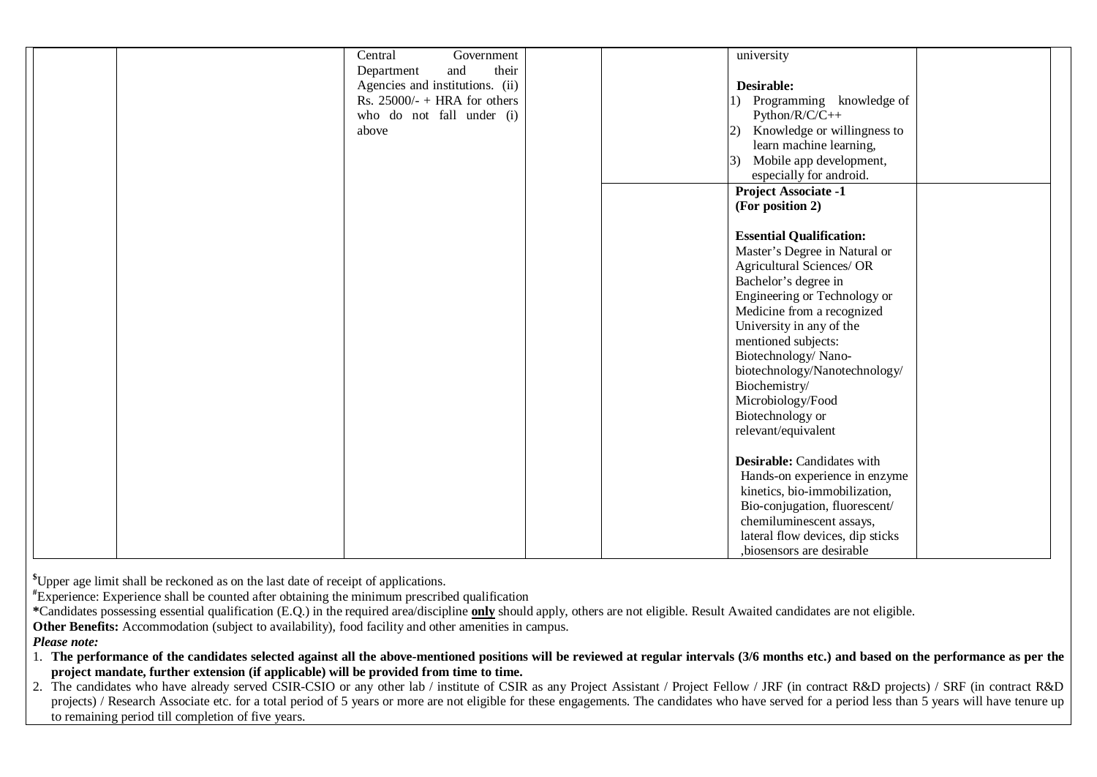| Central | Government                      |  | university                                   |  |
|---------|---------------------------------|--|----------------------------------------------|--|
|         | their<br>and<br>Department      |  |                                              |  |
|         | Agencies and institutions. (ii) |  | Desirable:                                   |  |
|         | Rs. $25000/-$ + HRA for others  |  | Programming knowledge of<br>$\Box$           |  |
|         | who do not fall under (i)       |  | $Python/R/C/C++$                             |  |
| above   |                                 |  | 2) Knowledge or willingness to               |  |
|         |                                 |  | learn machine learning,                      |  |
|         |                                 |  | Mobile app development,<br>$\left( 3\right)$ |  |
|         |                                 |  | especially for android.                      |  |
|         |                                 |  | <b>Project Associate -1</b>                  |  |
|         |                                 |  | (For position 2)                             |  |
|         |                                 |  |                                              |  |
|         |                                 |  | <b>Essential Qualification:</b>              |  |
|         |                                 |  | Master's Degree in Natural or                |  |
|         |                                 |  | Agricultural Sciences/OR                     |  |
|         |                                 |  | Bachelor's degree in                         |  |
|         |                                 |  | Engineering or Technology or                 |  |
|         |                                 |  | Medicine from a recognized                   |  |
|         |                                 |  | University in any of the                     |  |
|         |                                 |  | mentioned subjects:                          |  |
|         |                                 |  | Biotechnology/Nano-                          |  |
|         |                                 |  | biotechnology/Nanotechnology/                |  |
|         |                                 |  | Biochemistry/                                |  |
|         |                                 |  | Microbiology/Food                            |  |
|         |                                 |  | Biotechnology or                             |  |
|         |                                 |  | relevant/equivalent                          |  |
|         |                                 |  |                                              |  |
|         |                                 |  | Desirable: Candidates with                   |  |
|         |                                 |  | Hands-on experience in enzyme                |  |
|         |                                 |  | kinetics, bio-immobilization,                |  |
|         |                                 |  | Bio-conjugation, fluorescent/                |  |
|         |                                 |  | chemiluminescent assays,                     |  |
|         |                                 |  | lateral flow devices, dip sticks             |  |
|         |                                 |  | ,biosensors are desirable                    |  |

**\$** Upper age limit shall be reckoned as on the last date of receipt of applications.

**#** Experience: Experience shall be counted after obtaining the minimum prescribed qualification

**\***Candidates possessing essential qualification (E.Q.) in the required area/discipline **only** should apply, others are not eligible. Result Awaited candidates are not eligible.

**Other Benefits:** Accommodation (subject to availability), food facility and other amenities in campus.

*Please note:* 

1. **The performance of the candidates selected against all the above-mentioned positions will be reviewed at regular intervals (3/6 months etc.) and based on the performance as per the project mandate, further extension (if applicable) will be provided from time to time.** 

2. The candidates who have already served CSIR-CSIO or any other lab / institute of CSIR as any Project Assistant / Project Fellow / JRF (in contract R&D projects) / SRF (in contract R&D projects) / Research Associate etc. for a total period of 5 years or more are not eligible for these engagements. The candidates who have served for a period less than 5 years will have tenure up to remaining period till completion of five years.